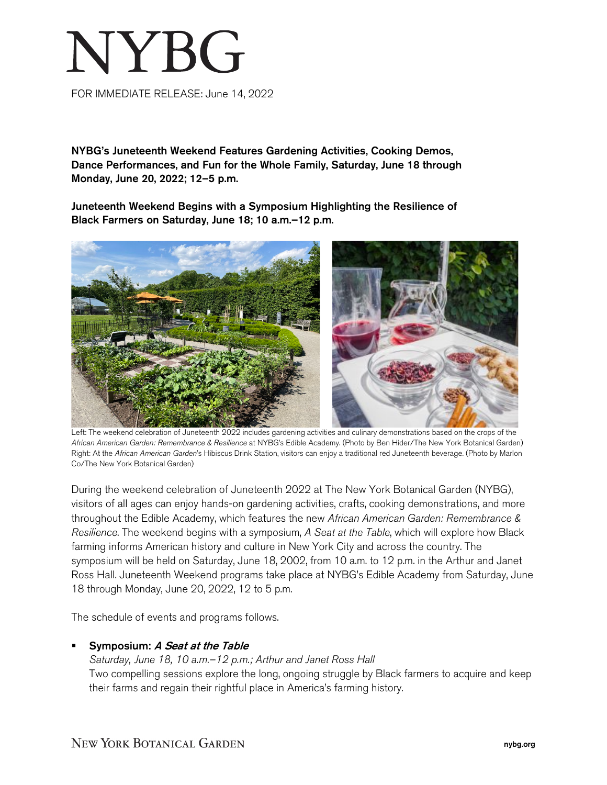# NYBG

FOR IMMEDIATE RELEASE: June 14, 2022

NYBG's Juneteenth Weekend Features Gardening Activities, Cooking Demos, Dance Performances, and Fun for the Whole Family, Saturday, June 18 through Monday, June 20, 2022; 12–5 p.m.

Juneteenth Weekend Begins with a Symposium Highlighting the Resilience of Black Farmers on Saturday, June 18; 10 a.m.–12 p.m.



 Left: The weekend celebration of Juneteenth 2022 includes gardening activities and culinary demonstrations based on the crops of the *African American Garden: Remembrance & Resilience* at NYBG's Edible Academy. (Photo by Ben Hider/The New York Botanical Garden) Right: At the *African American Garden*'s Hibiscus Drink Station, visitors can enjoy a traditional red Juneteenth beverage. (Photo by Marlon Co/The New York Botanical Garden)

During the weekend celebration of Juneteenth 2022 at The New York Botanical Garden (NYBG), visitors of all ages can enjoy hands-on gardening activities, crafts, cooking demonstrations, and more throughout the Edible Academy, which features the new *African American Garden: Remembrance & Resilience*. The weekend begins with a symposium, *A Seat at the Table*, which will explore how Black farming informs American history and culture in New York City and across the country. The symposium will be held on Saturday, June 18, 2002, from 10 a.m. to 12 p.m. in the Arthur and Janet Ross Hall. Juneteenth Weekend programs take place at NYBG's Edible Academy from Saturday, June 18 through Monday, June 20, 2022, 12 to 5 p.m.

The schedule of events and programs follows.

## Symposium: A Seat at the Table

# *Saturday, June 18, 10 a.m.–12 p.m.; Arthur and Janet Ross Hall* Two compelling sessions explore the long, ongoing struggle by Black farmers to acquire and keep their farms and regain their rightful place in America's farming history.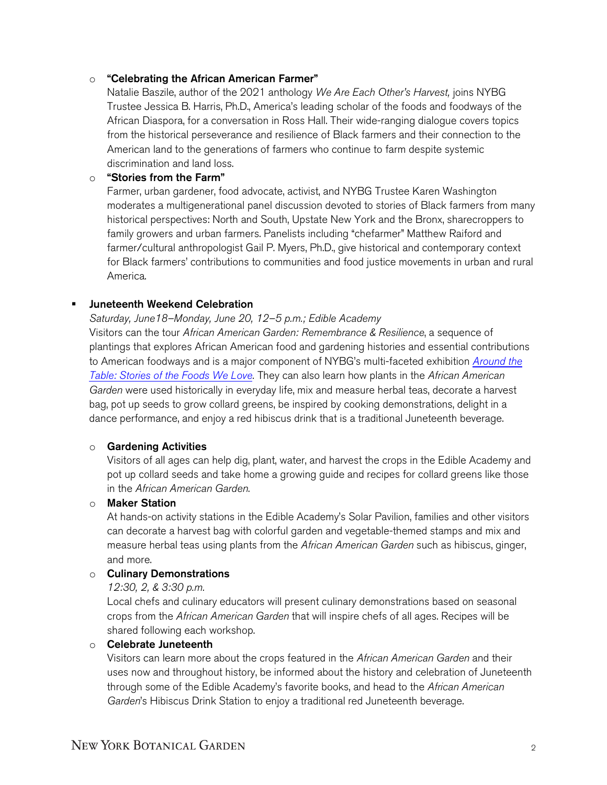# o "Celebrating the African American Farmer"

Natalie Baszile, author of the 2021 anthology *We Are Each Other's Harvest,* joins NYBG Trustee Jessica B. Harris, Ph.D., America's leading scholar of the foods and foodways of the African Diaspora, for a conversation in Ross Hall. Their wide-ranging dialogue covers topics from the historical perseverance and resilience of Black farmers and their connection to the American land to the generations of farmers who continue to farm despite systemic discrimination and land loss.

# o "Stories from the Farm"

Farmer, urban gardener, food advocate, activist, and NYBG Trustee Karen Washington moderates a multigenerational panel discussion devoted to stories of Black farmers from many historical perspectives: North and South, Upstate New York and the Bronx, sharecroppers to family growers and urban farmers. Panelists including "chefarmer" Matthew Raiford and farmer/cultural anthropologist Gail P. Myers, Ph.D., give historical and contemporary context for Black farmers' contributions to communities and food justice movements in urban and rural America.

# Juneteenth Weekend Celebration

## *Saturday, June18–Monday, June 20, 12–5 p.m.; Edible Academy*

Visitors can the tour *African American Garden: Remembrance & Resilience*, a sequence of plantings that explores African American food and gardening histories and essential contributions to American foodways and is a major component of NYBG's multi-faceted exhibition *[Around the](https://www.nybg.org/event/around-the-table-stories-of-the-foods-we-love/)  [Table: Stories of the Foods We Love.](https://www.nybg.org/event/around-the-table-stories-of-the-foods-we-love/)* They can also learn how plants in the *African American Garden* were used historically in everyday life, mix and measure herbal teas, decorate a harvest bag, pot up seeds to grow collard greens, be inspired by cooking demonstrations, delight in a dance performance, and enjoy a red hibiscus drink that is a traditional Juneteenth beverage.

## o Gardening Activities

Visitors of all ages can help dig, plant, water, and harvest the crops in the Edible Academy and pot up collard seeds and take home a growing guide and recipes for collard greens like those in the *African American Garden*.

## o Maker Station

At hands-on activity stations in the Edible Academy's Solar Pavilion, families and other visitors can decorate a harvest bag with colorful garden and vegetable-themed stamps and mix and measure herbal teas using plants from the *African American Garden* such as hibiscus, ginger, and more.

## o Culinary Demonstrations

## *12:30, 2, & 3:30 p.m.*

Local chefs and culinary educators will present culinary demonstrations based on seasonal crops from the *African American Garden* that will inspire chefs of all ages. Recipes will be shared following each workshop.

## o Celebrate Juneteenth

Visitors can learn more about the crops featured in the *African American Garden* and their uses now and throughout history, be informed about the history and celebration of Juneteenth through some of the Edible Academy's favorite books, and head to the *African American Garden*'s Hibiscus Drink Station to enjoy a traditional red Juneteenth beverage.